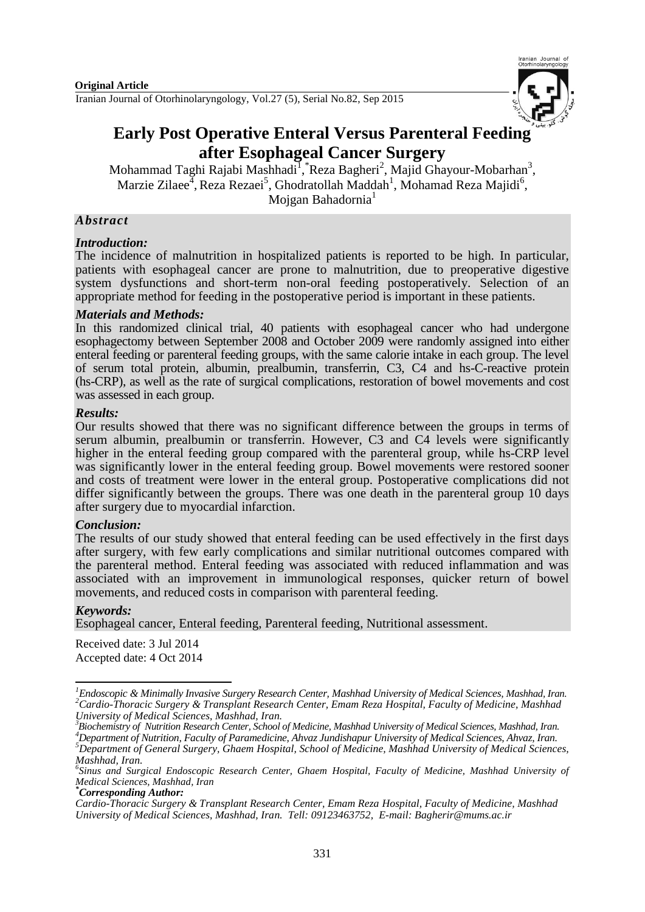

# **Early Post Operative Enteral Versus Parenteral Feeding after Esophageal Cancer Surgery**

Mohammad Taghi Rajabi Mashhadi<sup>1</sup>, \*Reza Bagheri<sup>2</sup>, Majid Ghayour-Mobarhan<sup>3</sup>, Marzie Zilaee<sup>4</sup>, Reza Rezaei<sup>5</sup>, Ghodratollah Maddah<sup>1</sup>, Mohamad Reza Majidi<sup>6</sup>, Mojgan Bahadornia<sup>1</sup>

### *Abstract*

#### *Introduction:*

The incidence of malnutrition in hospitalized patients is reported to be high. In particular, patients with esophageal cancer are prone to malnutrition, due to preoperative digestive system dysfunctions and short-term non-oral feeding postoperatively. Selection of an appropriate method for feeding in the postoperative period is important in these patients.

#### *Materials and Methods:*

In this randomized clinical trial, 40 patients with esophageal cancer who had undergone esophagectomy between September 2008 and October 2009 were randomly assigned into either enteral feeding or parenteral feeding groups, with the same calorie intake in each group. The level of serum total protein, albumin, prealbumin, transferrin, C3, C4 and hs-C-reactive protein (hs-CRP), as well as the rate of surgical complications, restoration of bowel movements and cost was assessed in each group.

#### *Results:*

Our results showed that there was no significant difference between the groups in terms of serum albumin, prealbumin or transferrin. However, C3 and C4 levels were significantly higher in the enteral feeding group compared with the parenteral group, while hs-CRP level was significantly lower in the enteral feeding group. Bowel movements were restored sooner and costs of treatment were lower in the enteral group. Postoperative complications did not differ significantly between the groups. There was one death in the parenteral group 10 days after surgery due to myocardial infarction.

# *Conclusion:*

The results of our study showed that enteral feeding can be used effectively in the first days after surgery, with few early complications and similar nutritional outcomes compared with the parenteral method. Enteral feeding was associated with reduced inflammation and was associated with an improvement in immunological responses, quicker return of bowel movements, and reduced costs in comparison with parenteral feeding.

# *Keywords:*

Esophageal cancer, Enteral feeding, Parenteral feeding, Nutritional assessment.

Received date: 3 Jul 2014 Accepted date: 4 Oct 2014

 $\overline{\phantom{a}}$ *<sup>1</sup>Endoscopic & Minimally Invasive Surgery Research Center, Mashhad University of Medical Sciences, Mashhad, Iran. <sup>2</sup>Cardio-Thoracic Surgery & Transplant Research Center, Emam Reza Hospital, Faculty of Medicine, Mashhad* 

*University of Medical Sciences, Mashhad, Iran. 3 Biochemistry of Nutrition Research Center, School of Medicine, Mashhad University of Medical Sciences, Mashhad, Iran.*

*<sup>4</sup>Department of Nutrition, Faculty of Paramedicine, Ahvaz Jundishapur University of Medical Sciences, Ahvaz, Iran. <sup>5</sup>Department of General Surgery, Ghaem Hospital, School of Medicine, Mashhad University of Medical Sciences,* 

*Mashhad, Iran. 6 Sinus and Surgical Endoscopic Research Center, Ghaem Hospital, Faculty of Medicine, Mashhad University of Medical Sciences, Mashhad, Iran*

*<sup>\*</sup>Corresponding Author:*

*Cardio-Thoracic Surgery & Transplant Research Center, Emam Reza Hospital, Faculty of Medicine, Mashhad University of Medical Sciences, Mashhad, Iran. Tell: 09123463752, E-mail: Bagherir@mums.ac.ir*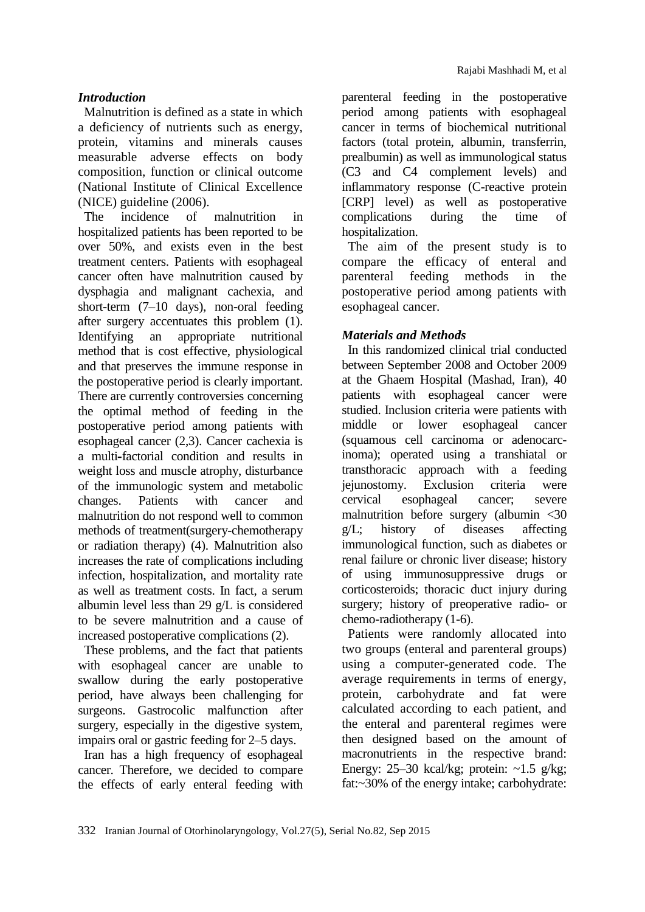Malnutrition is defined as a state in which a deficiency of nutrients such as energy, protein, vitamins and minerals causes measurable adverse effects on body composition, function or clinical outcome (National Institute of Clinical Excellence (NICE) guideline (2006).

The incidence of malnutrition in hospitalized patients has been reported to be over 50%, and exists even in the best treatment centers. Patients with esophageal cancer often have malnutrition caused by dysphagia and malignant cachexia, and short-term (7–10 days), non-oral feeding after surgery accentuates this problem [\(1\)](#page-5-0). Identifying an appropriate nutritional method that is cost effective, physiological and that preserves the immune response in the postoperative period is clearly important. There are currently controversies concerning the optimal method of feeding in the postoperative period among patients with esophageal cancer [\(2,](#page-5-1)[3\)](#page-5-2). Cancer cachexia is a multi**-**factorial condition and results in weight loss and muscle atrophy, disturbance of the immunologic system and metabolic changes. Patients with cancer and malnutrition do not respond well to common methods of treatment(surgery-chemotherapy or radiation therapy) [\(4\)](#page-5-3). Malnutrition also increases the rate of complications including infection, hospitalization, and mortality rate as well as treatment costs. In fact, a serum albumin level less than 29 g/L is considered to be severe malnutrition and a cause of increased postoperative complications [\(2\)](#page-5-1).

These problems, and the fact that patients with esophageal cancer are unable to swallow during the early postoperative period, have always been challenging for surgeons. Gastrocolic malfunction after surgery, especially in the digestive system, impairs oral or gastric feeding for 2–5 days.

Iran has a high frequency of esophageal cancer. Therefore, we decided to compare the effects of early enteral feeding with parenteral feeding in the postoperative period among patients with esophageal cancer in terms of biochemical nutritional factors (total protein, albumin, transferrin, prealbumin) as well as immunological status (C3 and C4 complement levels) and inflammatory response (C-reactive protein [CRP] level) as well as postoperative complications during the time of hospitalization.

The aim of the present study is to compare the efficacy of enteral and parenteral feeding methods in the postoperative period among patients with esophageal cancer.

# *Materials and Methods*

In this randomized clinical trial conducted between September 2008 and October 2009 at the Ghaem Hospital (Mashad, Iran), 40 patients with esophageal cancer were studied. Inclusion criteria were patients with middle or lower esophageal cancer (squamous cell carcinoma or adenocarcinoma); operated using a transhiatal or transthoracic approach with a feeding jejunostomy. Exclusion criteria were cervical esophageal cancer; severe malnutrition before surgery (albumin <30 g/L; history of diseases affecting immunological function, such as diabetes or renal failure or chronic liver disease; history of using immunosuppressive drugs or corticosteroids; thoracic duct injury during surgery; history of preoperative radio- or chemo-radiotherapy (1-6).

Patients were randomly allocated into two groups (enteral and parenteral groups) using a computer-generated code. The average requirements in terms of energy, protein, carbohydrate and fat were calculated according to each patient, and the enteral and parenteral regimes were then designed based on the amount of macronutrients in the respective brand: Energy:  $25-30$  kcal/kg; protein:  $\sim$ 1.5 g/kg; fat:~30% of the energy intake; carbohydrate: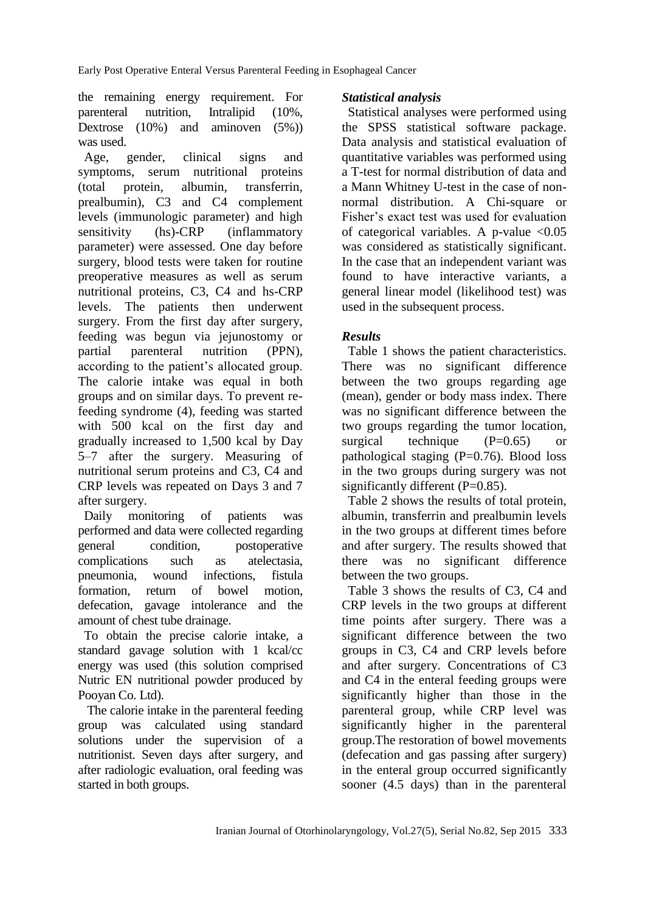the remaining energy requirement. For parenteral nutrition, Intralipid (10%, Dextrose (10%) and aminoven (5%)) was used.

Age, gender, clinical signs and symptoms, serum nutritional proteins (total protein, albumin, transferrin, prealbumin), C3 and C4 complement levels (immunologic parameter) and high sensitivity (hs)-CRP (inflammatory parameter) were assessed. One day before surgery, blood tests were taken for routine preoperative measures as well as serum nutritional proteins, C3, C4 and hs-CRP levels. The patients then underwent surgery. From the first day after surgery, feeding was begun via jejunostomy or partial parenteral nutrition (PPN), according to the patient's allocated group. The calorie intake was equal in both groups and on similar days. To prevent refeeding syndrome (4), feeding was started with 500 kcal on the first day and gradually increased to 1,500 kcal by Day 5–7 after the surgery. Measuring of nutritional serum proteins and C3, C4 and CRP levels was repeated on Days 3 and 7 after surgery.

Daily monitoring of patients was performed and data were collected regarding general condition, postoperative complications such as atelectasia, pneumonia, wound infections, fistula formation, return of bowel motion, defecation, gavage intolerance and the amount of chest tube drainage.

To obtain the precise calorie intake, a standard gavage solution with 1 kcal/cc energy was used (this solution comprised Nutric EN nutritional powder produced by Pooyan Co. Ltd).

The calorie intake in the parenteral feeding group was calculated using standard solutions under the supervision of a nutritionist. Seven days after surgery, and after radiologic evaluation, oral feeding was started in both groups.

# *Statistical analysis*

Statistical analyses were performed using the SPSS statistical software package. Data analysis and statistical evaluation of quantitative variables was performed using a T-test for normal distribution of data and a Mann Whitney U-test in the case of nonnormal distribution. A Chi-square or Fisher's exact test was used for evaluation of categorical variables. A p-value  $\langle 0.05 \rangle$ was considered as statistically significant. In the case that an independent variant was found to have interactive variants, a general linear model (likelihood test) was used in the subsequent process.

# *Results*

Table 1 shows the patient characteristics. There was no significant difference between the two groups regarding age (mean), gender or body mass index. There was no significant difference between the two groups regarding the tumor location, surgical technique  $(P=0.65)$  or pathological staging  $(P=0.76)$ . Blood loss in the two groups during surgery was not significantly different (P=0.85).

Table 2 shows the results of total protein, albumin, transferrin and prealbumin levels in the two groups at different times before and after surgery. The results showed that there was no significant difference between the two groups.

Table 3 shows the results of C3, C4 and CRP levels in the two groups at different time points after surgery. There was a significant difference between the two groups in C3, C4 and CRP levels before and after surgery. Concentrations of C3 and C4 in the enteral feeding groups were significantly higher than those in the parenteral group, while CRP level was significantly higher in the parenteral group.The restoration of bowel movements (defecation and gas passing after surgery) in the enteral group occurred significantly sooner (4.5 days) than in the parenteral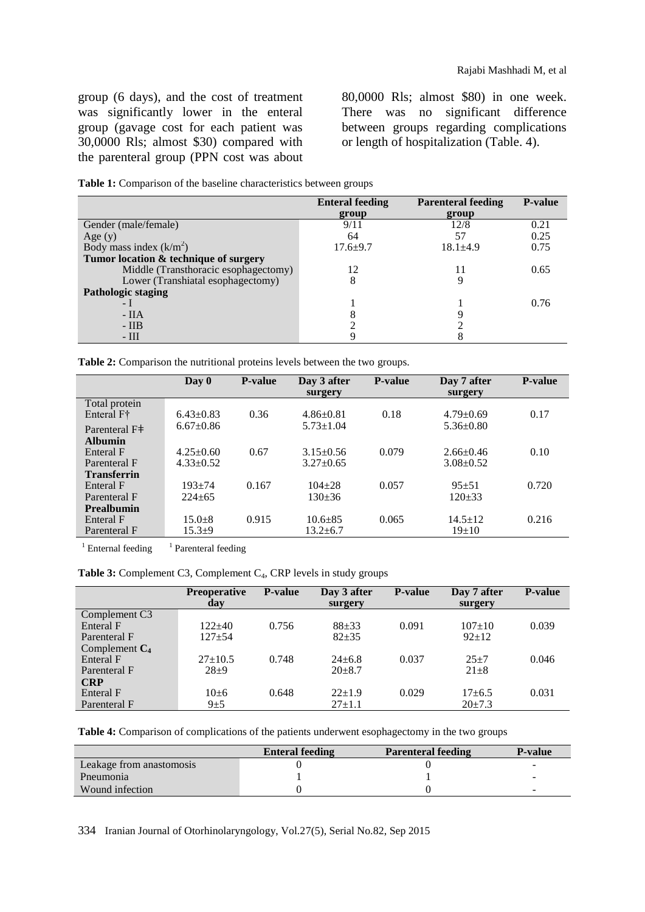group (6 days), and the cost of treatment was significantly lower in the enteral group (gavage cost for each patient was 30,0000 Rls; almost \$30) compared with the parenteral group (PPN cost was about

80,0000 Rls; almost \$80) in one week. There was no significant difference between groups regarding complications or length of hospitalization (Table. 4).

| Table 1: Comparison of the baseline characteristics between groups |  |  |  |
|--------------------------------------------------------------------|--|--|--|
|--------------------------------------------------------------------|--|--|--|

|                                       | <b>Enteral feeding</b> | <b>Parenteral feeding</b> | <b>P-value</b> |
|---------------------------------------|------------------------|---------------------------|----------------|
|                                       | group                  | group                     |                |
| Gender (male/female)                  | 9/11                   | 12/8                      | 0.21           |
| Age $(y)$                             | 64                     | 57                        | 0.25           |
| Body mass index $(k/m2)$              | $17.6 + 9.7$           | $18.1 \pm 4.9$            | 0.75           |
| Tumor location & technique of surgery |                        |                           |                |
| Middle (Transthoracic esophagectomy)  | 12                     | 11                        | 0.65           |
| Lower (Transhiatal esophagectomy)     | 8                      |                           |                |
| Pathologic staging                    |                        |                           |                |
| $-1$                                  |                        |                           | 0.76           |
| $-IIA$                                |                        |                           |                |
| $- IIB$                               |                        |                           |                |
| $-III$                                |                        |                           |                |

**Table 2:** Comparison the nutritional proteins levels between the two groups.

|                                          | $\bf Day 0$     | <b>P-value</b> | Day 3 after     | <b>P-value</b> | Day 7 after     | <b>P-value</b> |
|------------------------------------------|-----------------|----------------|-----------------|----------------|-----------------|----------------|
|                                          |                 |                | surgery         |                | surgery         |                |
| Total protein                            |                 |                |                 |                |                 |                |
| Enteral F <sup>†</sup>                   | $6.43 \pm 0.83$ | 0.36           | $4.86 \pm 0.81$ | 0.18           | $4.79 \pm 0.69$ | 0.17           |
| Parenteral F <sup><math>\pm</math></sup> | $6.67 \pm 0.86$ |                | $5.73 \pm 1.04$ |                | $5.36 \pm 0.80$ |                |
| <b>Albumin</b>                           |                 |                |                 |                |                 |                |
| Enteral F                                | $4.25 \pm 0.60$ | 0.67           | $3.15 \pm 0.56$ | 0.079          | $2.66 \pm 0.46$ | 0.10           |
| Parenteral F                             | $4.33 \pm 0.52$ |                | $3.27 + 0.65$   |                | $3.08 + 0.52$   |                |
| <b>Transferrin</b>                       |                 |                |                 |                |                 |                |
| Enteral F                                | $193 + 74$      | 0.167          | $104 + 28$      | 0.057          | $95 + 51$       | 0.720          |
| Parenteral F                             | $224+65$        |                | $130+36$        |                | $120+33$        |                |
| <b>Prealbumin</b>                        |                 |                |                 |                |                 |                |
| Enteral F                                | $15.0 + 8$      | 0.915          | $10.6 + 85$     | 0.065          | $14.5 \pm 12$   | 0.216          |
| Parenteral F                             | $15.3+9$        |                | $13.2 \pm 6.7$  |                | $19+10$         |                |
|                                          |                 |                |                 |                |                 |                |

 $1$  Enternal feeding <sup>1</sup> Parenteral feeding

Table 3: Complement C3, Complement C<sub>4</sub>, CRP levels in study groups

|                  | <b>Preoperative</b><br>day | <b>P-value</b> | Day 3 after<br>surgery | <b>P-value</b> | Day 7 after<br>surgery | <b>P-value</b> |
|------------------|----------------------------|----------------|------------------------|----------------|------------------------|----------------|
| Complement C3    |                            |                |                        |                |                        |                |
| Enteral F        | $122+40$                   | 0.756          | $88 + 33$              | 0.091          | $107+10$               | 0.039          |
| Parenteral F     | $127 + 54$                 |                | $82 + 35$              |                | $92+12$                |                |
| Complement $C_4$ |                            |                |                        |                |                        |                |
| Enteral F        | $27+10.5$                  | 0.748          | $24 \pm 6.8$           | 0.037          | $25+7$                 | 0.046          |
| Parenteral F     | $28+9$                     |                | $20+8.7$               |                | $21 \pm 8$             |                |
| <b>CRP</b>       |                            |                |                        |                |                        |                |
| Enteral F        | $10\pm 6$                  | 0.648          | $22+1.9$               | 0.029          | $17+6.5$               | 0.031          |
| Parenteral F     | $9\pm 5$                   |                | $27 \pm 1.1$           |                | $20 \pm 7.3$           |                |

**Table 4:** Comparison of complications of the patients underwent esophagectomy in the two groups

|                          | <b>Enteral feeding</b> | <b>Parenteral feeding</b> | <b>P-value</b> |
|--------------------------|------------------------|---------------------------|----------------|
| Leakage from anastomosis |                        |                           |                |
| Pneumonia                |                        |                           |                |
| Wound infection          |                        |                           |                |

334 Iranian Journal of Otorhinolaryngology, Vol.27(5), Serial No.82, Sep 2015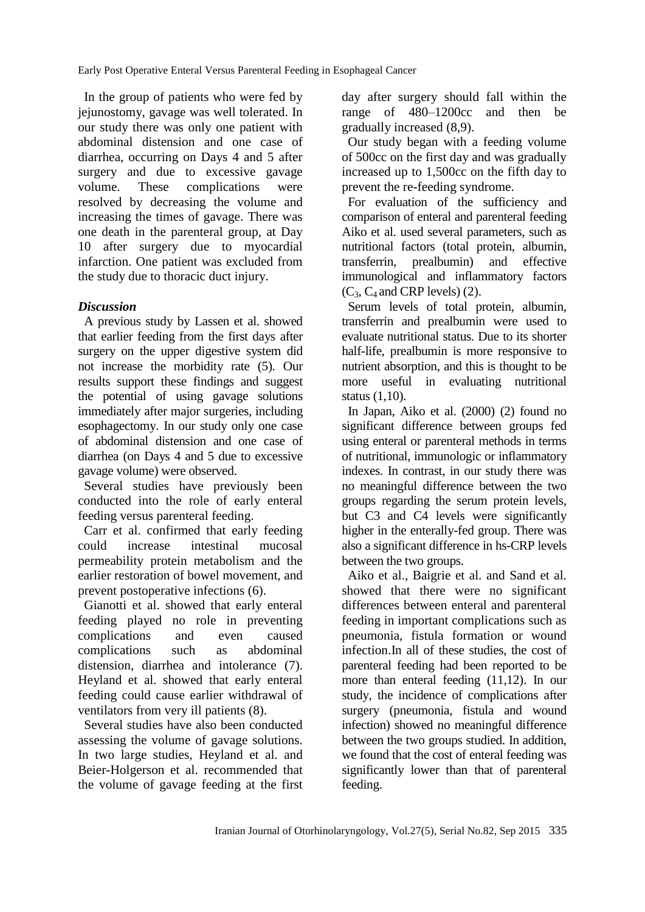In the group of patients who were fed by jejunostomy, gavage was well tolerated. In our study there was only one patient with abdominal distension and one case of diarrhea, occurring on Days 4 and 5 after surgery and due to excessive gavage volume. These complications were resolved by decreasing the volume and increasing the times of gavage. There was one death in the parenteral group, at Day 10 after surgery due to myocardial infarction. One patient was excluded from the study due to thoracic duct injury.

# *Discussion*

A previous study by Lassen et al. showed that earlier feeding from the first days after surgery on the upper digestive system did not increase the morbidity rate [\(5\)](#page-5-4). Our results support these findings and suggest the potential of using gavage solutions immediately after major surgeries, including esophagectomy. In our study only one case of abdominal distension and one case of diarrhea (on Days 4 and 5 due to excessive gavage volume) were observed.

Several studies have previously been conducted into the role of early enteral feeding versus parenteral feeding.

Carr et al. confirmed that early feeding could increase intestinal mucosal permeability protein metabolism and the earlier restoration of bowel movement, and prevent postoperative infections [\(6\)](#page-5-5).

Gianotti et al. showed that early enteral feeding played no role in preventing complications and even caused complications such as abdominal distension, diarrhea and intolerance [\(7\)](#page-5-6). Heyland et al. showed that early enteral feeding could cause earlier withdrawal of ventilators from very ill patients [\(8\)](#page-5-7).

Several studies have also been conducted assessing the volume of gavage solutions. In two large studies, Heyland et al. and Beier-Holgerson et al. recommended that the volume of gavage feeding at the first day after surgery should fall within the range of 480–1200cc and then be gradually increased (8[,9\)](#page-5-8).

Our study began with a feeding volume of 500cc on the first day and was gradually increased up to 1,500cc on the fifth day to prevent the re-feeding syndrome.

For evaluation of the sufficiency and comparison of enteral and parenteral feeding Aiko et al. used several parameters, such as nutritional factors (total protein, albumin, transferrin, prealbumin) and effective immunological and inflammatory factors  $(C_3, C_4$  and CRP levels) [\(2\)](#page-5-1).

Serum levels of total protein, albumin, transferrin and prealbumin were used to evaluate nutritional status. Due to its shorter half-life, prealbumin is more responsive to nutrient absorption, and this is thought to be more useful in evaluating nutritional status [\(1](#page-5-0)[,10\)](#page-5-9).

In Japan, Aiko et al. (2000) [\(2\)](#page-5-1) found no significant difference between groups fed using enteral or parenteral methods in terms of nutritional, immunologic or inflammatory indexes. In contrast, in our study there was no meaningful difference between the two groups regarding the serum protein levels, but C3 and C4 levels were significantly higher in the enterally-fed group. There was also a significant difference in hs-CRP levels between the two groups.

Aiko et al., Baigrie et al. and Sand et al. showed that there were no significant differences between enteral and parenteral feeding in important complications such as pneumonia, fistula formation or wound infection.In all of these studies, the cost of parenteral feeding had been reported to be more than enteral feeding [\(11](#page-5-10)[,12\)](#page-5-11). In our study, the incidence of complications after surgery (pneumonia, fistula and wound infection) showed no meaningful difference between the two groups studied. In addition, we found that the cost of enteral feeding was significantly lower than that of parenteral feeding.